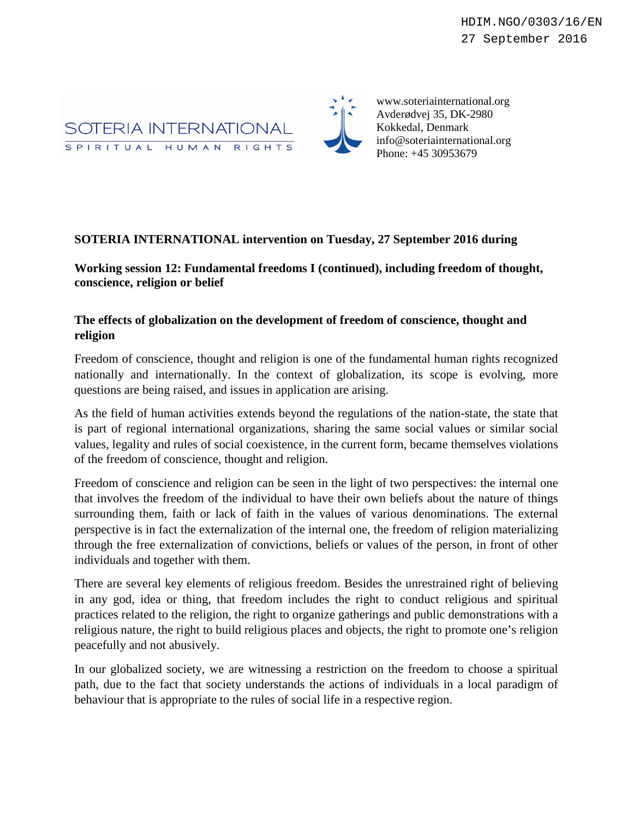

www.soteriainternational.org Avderødvej 35, DK-2980 Kokkedal, Denmark info@soteriainternational.org Phone: +45 30953679

## **SOTERIA INTERNATIONAL intervention on Tuesday, 27 September 2016 during**

**Working session 12: Fundamental freedoms I (continued), including freedom of thought, conscience, religion or belief**

## **The effects of globalization on the development of freedom of conscience, thought and religion**

Freedom of conscience, thought and religion is one of the fundamental human rights recognized nationally and internationally. In the context of globalization, its scope is evolving, more questions are being raised, and issues in application are arising.

As the field of human activities extends beyond the regulations of the nation-state, the state that is part of regional international organizations, sharing the same social values or similar social values, legality and rules of social coexistence, in the current form, became themselves violations of the freedom of conscience, thought and religion.

Freedom of conscience and religion can be seen in the light of two perspectives: the internal one that involves the freedom of the individual to have their own beliefs about the nature of things surrounding them, faith or lack of faith in the values of various denominations. The external perspective is in fact the externalization of the internal one, the freedom of religion materializing through the free externalization of convictions, beliefs or values of the person, in front of other individuals and together with them.

There are several key elements of religious freedom. Besides the unrestrained right of believing in any god, idea or thing, that freedom includes the right to conduct religious and spiritual practices related to the religion, the right to organize gatherings and public demonstrations with a religious nature, the right to build religious places and objects, the right to promote one's religion peacefully and not abusively.

In our globalized society, we are witnessing a restriction on the freedom to choose a spiritual path, due to the fact that society understands the actions of individuals in a local paradigm of behaviour that is appropriate to the rules of social life in a respective region.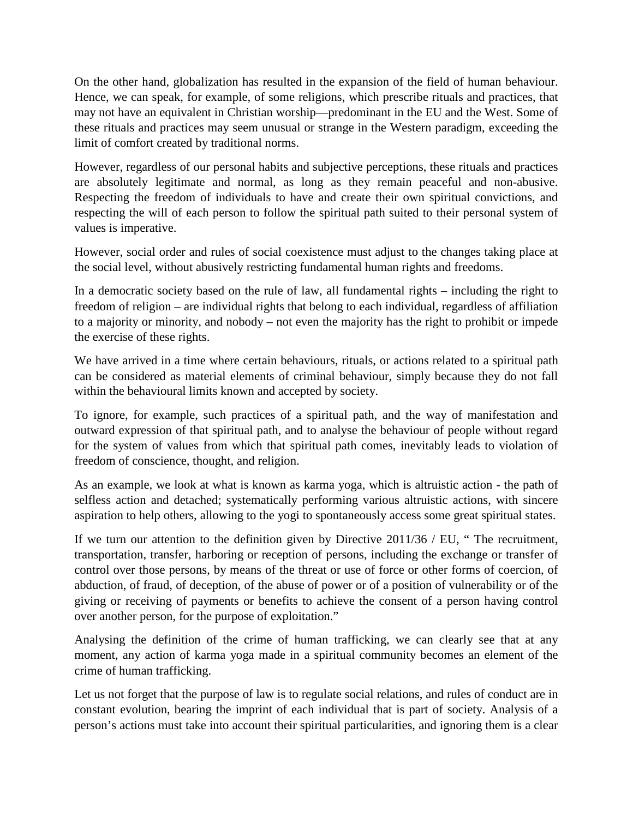On the other hand, globalization has resulted in the expansion of the field of human behaviour. Hence, we can speak, for example, of some religions, which prescribe rituals and practices, that may not have an equivalent in Christian worship—predominant in the EU and the West. Some of these rituals and practices may seem unusual or strange in the Western paradigm, exceeding the limit of comfort created by traditional norms.

However, regardless of our personal habits and subjective perceptions, these rituals and practices are absolutely legitimate and normal, as long as they remain peaceful and non-abusive. Respecting the freedom of individuals to have and create their own spiritual convictions, and respecting the will of each person to follow the spiritual path suited to their personal system of values is imperative.

However, social order and rules of social coexistence must adjust to the changes taking place at the social level, without abusively restricting fundamental human rights and freedoms.

In a democratic society based on the rule of law, all fundamental rights – including the right to freedom of religion – are individual rights that belong to each individual, regardless of affiliation to a majority or minority, and nobody – not even the majority has the right to prohibit or impede the exercise of these rights.

We have arrived in a time where certain behaviours, rituals, or actions related to a spiritual path can be considered as material elements of criminal behaviour, simply because they do not fall within the behavioural limits known and accepted by society.

To ignore, for example, such practices of a spiritual path, and the way of manifestation and outward expression of that spiritual path, and to analyse the behaviour of people without regard for the system of values from which that spiritual path comes, inevitably leads to violation of freedom of conscience, thought, and religion.

As an example, we look at what is known as karma yoga, which is altruistic action - the path of selfless action and detached; systematically performing various altruistic actions, with sincere aspiration to help others, allowing to the yogi to spontaneously access some great spiritual states.

If we turn our attention to the definition given by Directive 2011/36 / EU, " The recruitment, transportation, transfer, harboring or reception of persons, including the exchange or transfer of control over those persons, by means of the threat or use of force or other forms of coercion, of abduction, of fraud, of deception, of the abuse of power or of a position of vulnerability or of the giving or receiving of payments or benefits to achieve the consent of a person having control over another person, for the purpose of exploitation."

Analysing the definition of the crime of human trafficking, we can clearly see that at any moment, any action of karma yoga made in a spiritual community becomes an element of the crime of human trafficking.

Let us not forget that the purpose of law is to regulate social relations, and rules of conduct are in constant evolution, bearing the imprint of each individual that is part of society. Analysis of a person's actions must take into account their spiritual particularities, and ignoring them is a clear